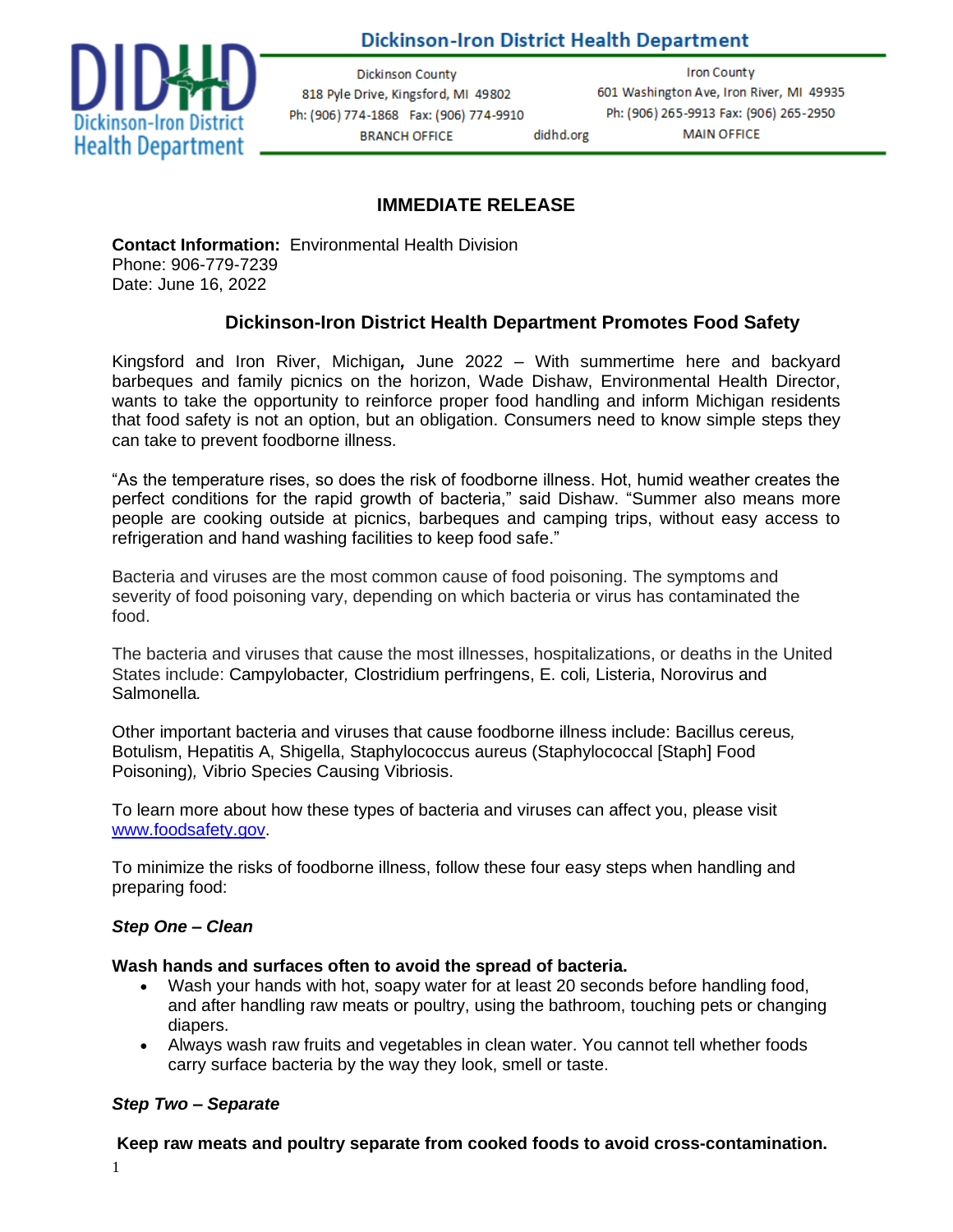

# Dickinson-Iron District Health Department

**Dickinson County** 818 Pyle Drive, Kingsford, MI 49802 Ph: (906) 774-1868 Fax: (906) 774-9910 **BRANCH OFFICE** didhd.org

**Iron County** 601 Washington Ave, Iron River, MI 49935 Ph: (906) 265-9913 Fax: (906) 265-2950 **MAIN OFFICE** 

## **IMMEDIATE RELEASE**

**Contact Information:** Environmental Health Division Phone: 906-779-7239 Date: June 16, 2022

### **Dickinson-Iron District Health Department Promotes Food Safety**

Kingsford and Iron River, Michigan*,* June 2022 – With summertime here and backyard barbeques and family picnics on the horizon, Wade Dishaw, Environmental Health Director, wants to take the opportunity to reinforce proper food handling and inform Michigan residents that food safety is not an option, but an obligation. Consumers need to know simple steps they can take to prevent foodborne illness.

"As the temperature rises, so does the risk of foodborne illness. Hot, humid weather creates the perfect conditions for the rapid growth of bacteria," said Dishaw. "Summer also means more people are cooking outside at picnics, barbeques and camping trips, without easy access to refrigeration and hand washing facilities to keep food safe."

Bacteria and viruses are the most common cause of food poisoning. The symptoms and severity of food poisoning vary, depending on which bacteria or virus has contaminated the food.

The bacteria and viruses that cause the most illnesses, hospitalizations, or deaths in the United States include: Campylobacter*,* Clostridium perfringens, E. coli*,* Listeria, Norovirus and Salmonella*.* 

Other important bacteria and viruses that cause foodborne illness include: Bacillus cereus*,*  Botulism, Hepatitis A, Shigella, Staphylococcus aureus (Staphylococcal [Staph] Food Poisoning)*,* Vibrio Species Causing Vibriosis.

To learn more about how these types of bacteria and viruses can affect you, please visit www.foodsafety.gov.

To minimize the risks of foodborne illness, follow these four easy steps when handling and preparing food:

#### *Step One* **–** *Clean*

#### **Wash hands and surfaces often to avoid the spread of bacteria.**

- Wash your hands with hot, soapy water for at least 20 seconds before handling food, and after handling raw meats or poultry, using the bathroom, touching pets or changing diapers.
- Always wash raw fruits and vegetables in clean water. You cannot tell whether foods carry surface bacteria by the way they look, smell or taste.

#### *Step Two – Separate*

#### **Keep raw meats and poultry separate from cooked foods to avoid cross-contamination.**